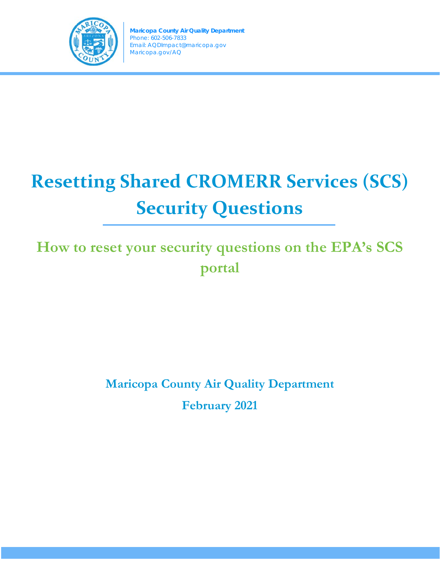

# **Resetting Shared CROMERR Services (SCS) Security Questions**

**How to reset your security questions on the EPA's SCS portal**

> **Maricopa County Air Quality Department February 2021**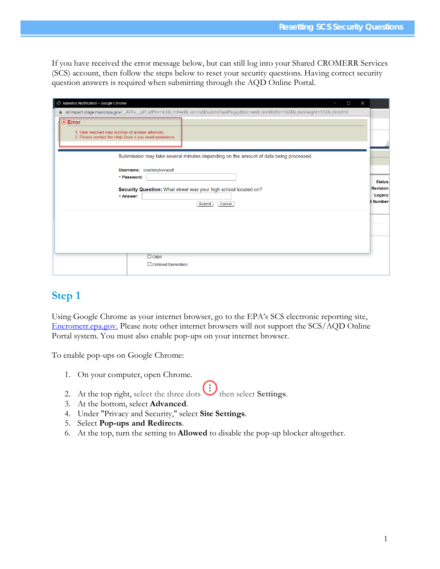If you have received the error message below, but can still log into your Shared CROMERR Services (SCS) account, then follow the steps below to reset your security questions. Having correct security question answers is required when submitting through the AQD Online Portal.

| Asbestos Notification - Google Chrome<br>$\times$<br>П                                                                                                                                                                               |                                                                      |
|--------------------------------------------------------------------------------------------------------------------------------------------------------------------------------------------------------------------------------------|----------------------------------------------------------------------|
| airimpact.stage.maricopa.gov/_ADFv_.jsf?_afPfm=8.1&_t=fred&_vir=/util/submitTaskPin.jsp&loc=en&_minWidth=1024&_minHeight=512&_rtmld=0                                                                                                |                                                                      |
| <sup>(x)</sup> Error<br>1. User reached max number of answer attempts.<br>2. Please contact the Help Desk if you need assistance.                                                                                                    |                                                                      |
| Submission may take several minutes depending on the amount of data being processed.<br>Username: courtneykovacs6<br>* Password:<br>Security Question: What street was your high school located on?<br>* Answer:<br>Submit<br>Cancel | <b>Status</b><br><b>Revision</b><br><b>Legacy</b><br><b>B</b> Number |
| $\Box$ O&M<br>□ Ordered Demolition                                                                                                                                                                                                   |                                                                      |

## **Step 1**

Using Google Chrome as your internet browser, go to the EPA's SCS electronic reporting site, [Encromerr.epa.gov.](https://encromerr.epa.gov/) Please note other internet browsers will not support the SCS/AQD Online Portal system. You must also enable pop-ups on your internet browser.

To enable pop-ups on Google Chrome:

- 1. On your computer, open Chrome.
- 2. At the top right, select the three dots  $\bigoplus$  then select **Settings**.
- 3. At the bottom, select **Advanced**.
- 4. Under "Privacy and Security," select **Site Settings**.
- 5. Select **Pop-ups and Redirects**.
- 6. At the top, turn the setting to **Allowed** to disable the pop-up blocker altogether.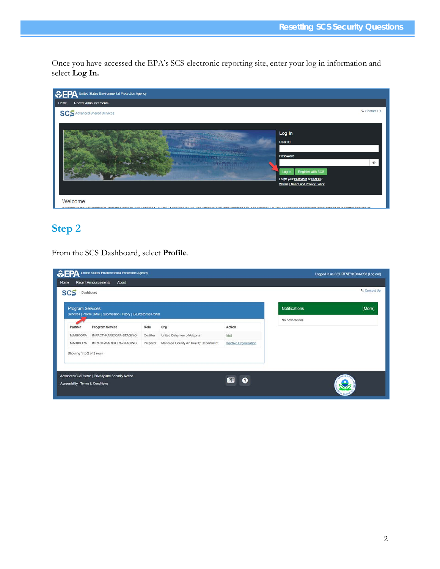Once you have accessed the EPA's SCS electronic reporting site, enter your log in information and select **Log In.**



# **Step 2**

From the SCS Dashboard, select **Profile**.

| <b>Program Services</b>  | Services   Profile   Mail   Submission History   E-Enterprise Portal |           |                                        |                       | <b>Notifications</b> | (More) |
|--------------------------|----------------------------------------------------------------------|-----------|----------------------------------------|-----------------------|----------------------|--------|
| Partner                  | Program Service                                                      | Role.     | Org                                    | Action                | No notifications     |        |
| MARICOPA                 | IMPACT-MARICOPA-STAGING                                              | Certifier | United Dairymen of Arizona             | Visit                 |                      |        |
| MARICOPA                 | IMPACT-MARICOPA-STAGING                                              | Preparer  | Maricopa County Air Quality Department | Inactive Organization |                      |        |
| Showing 1 to 2 of 2 rows |                                                                      |           |                                        |                       |                      |        |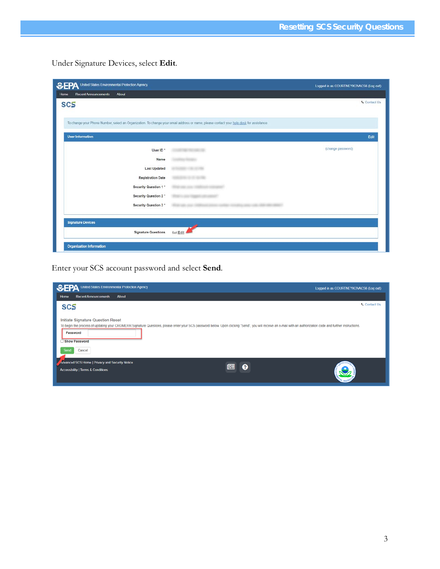Under Signature Devices, select **Edit**.

| <b>SEPA</b><br>United States Environmental Protection Agency                                                                            |          | Logged in as COURTNEYKOVACS6 (Log out) |
|-----------------------------------------------------------------------------------------------------------------------------------------|----------|----------------------------------------|
| <b>Recent Announcements</b><br>About<br>Home                                                                                            |          |                                        |
| <b>SCS</b>                                                                                                                              |          | <b>L</b> Contact Us                    |
|                                                                                                                                         |          |                                        |
| To change your Phone Number, select an Organization. To change your email address or name, please contact your help desk for assistance |          |                                        |
| <b>User Information</b>                                                                                                                 |          | Edit                                   |
| User ID *                                                                                                                               |          | (change password)                      |
| Name                                                                                                                                    |          |                                        |
| <b>Last Updated</b>                                                                                                                     |          |                                        |
| <b>Registration Date</b>                                                                                                                |          |                                        |
| Security Question 1 *                                                                                                                   |          |                                        |
| Security Question 2 *                                                                                                                   |          |                                        |
| Security Question 3 *                                                                                                                   |          |                                        |
| <b>Signature Devices</b>                                                                                                                |          |                                        |
| <b>Signature Questions</b>                                                                                                              | Set Edit |                                        |
| <b>Organization Information</b>                                                                                                         |          |                                        |
|                                                                                                                                         |          |                                        |

Enter your SCS account password and select **Send**.

| CHA United States Environmental Protection Agency                                                                                                                                                                                                                                                  | Logged in as COURTNEYKOVACS6 (Log out) |
|----------------------------------------------------------------------------------------------------------------------------------------------------------------------------------------------------------------------------------------------------------------------------------------------------|----------------------------------------|
| <b>Recent Announcements</b><br><b>About</b><br>Home                                                                                                                                                                                                                                                |                                        |
| <b>SCS</b>                                                                                                                                                                                                                                                                                         | <b>L</b> Contact Us                    |
| Initiate Signature Question Reset<br>To begin the process of updating your CROMERR Signature Questions, please enter your SCS password below. Upon clicking "Send", you will receive an e-mail with an authorization code and further instructions.<br>Password<br>Show Password<br>Cancel<br>Send |                                        |
| Advanced SCS Home   Privacy and Security Notice<br>啯<br>Q<br><b>Accessibility   Terms &amp; Conditions</b>                                                                                                                                                                                         |                                        |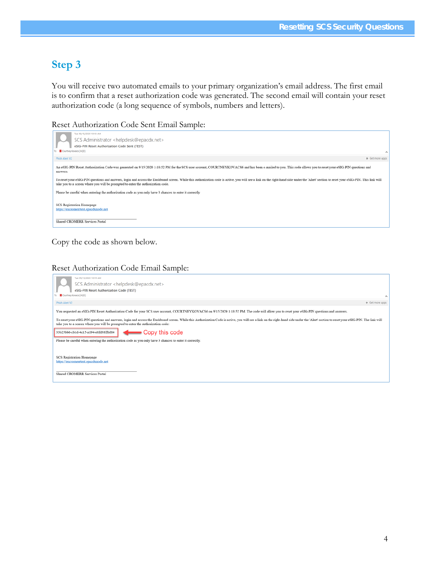## **Step 3**

You will receive two automated emails to your primary organization's email address. The first email is to confirm that a reset authorization code was generated. The second email will contain your reset authorization code (a long sequence of symbols, numbers and letters).

Reset Authorization Code Sent Email Sample:

| Tue 09/15/2020 10:19 AM<br>SCS Administrator <helpdesk@epacdx.net></helpdesk@epacdx.net>                                                                                                                                                                                                                           |                 |
|--------------------------------------------------------------------------------------------------------------------------------------------------------------------------------------------------------------------------------------------------------------------------------------------------------------------|-----------------|
| eSIG-PIN Reset Authorization Code Sent (TEST)                                                                                                                                                                                                                                                                      |                 |
| <b>88</b> Courtney Kovacs (AQD)                                                                                                                                                                                                                                                                                    |                 |
| Phish Alert V2                                                                                                                                                                                                                                                                                                     | + Get more apps |
| An eSIG-PIN Reset Authorization Code was generated on 9/15/2020 1:18:52 PM for the SCS user account, COURTNEYKOVACS6 and has been e-mailed to you. This code allows you to reset your eSIG-PIN questions and<br>answers.                                                                                           |                 |
| To reset your eSIG-PIN questions and answers, login and access the Dashboard screen. While this authorization code is active, you will see a link on the right-hand side under the 'Alert' section to reset your eSIG-PIN. Thi<br>take you to a screen where you will be prompted to enter the authorization code. |                 |
| Please be careful when entering the authorization code as you only have 3 chances to enter it correctly                                                                                                                                                                                                            |                 |
| SCS Registration Homepage<br>https://encromerrtest.epacdxnode.net                                                                                                                                                                                                                                                  |                 |
| Shared CROMERR Services Portal                                                                                                                                                                                                                                                                                     |                 |

Copy the code as shown below.

#### Reset Authorization Code Email Sample:

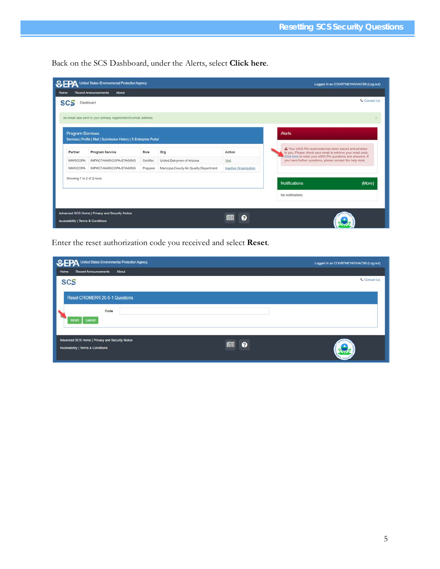Back on the SCS Dashboard, under the Alerts, select **Click here**.

| >EPA                     | United States Environmental Protection Agency                        |           |                                        |                       | Logged in as COURTNEYKOVACS6 (Log out)                                                                                   |                     |  |
|--------------------------|----------------------------------------------------------------------|-----------|----------------------------------------|-----------------------|--------------------------------------------------------------------------------------------------------------------------|---------------------|--|
| Home                     | <b>Recent Announcements</b><br>About                                 |           |                                        |                       |                                                                                                                          |                     |  |
| SCS<br>Dashboard         |                                                                      |           |                                        |                       |                                                                                                                          | <b>L</b> Contact Us |  |
|                          |                                                                      |           |                                        |                       |                                                                                                                          |                     |  |
|                          | An email was sent to your primary organization's email address.      |           |                                        |                       |                                                                                                                          |                     |  |
| <b>Program Services</b>  |                                                                      |           |                                        |                       | <b>Alerts</b>                                                                                                            |                     |  |
|                          | Services   Profile   Mail   Submission History   E-Enterprise Portal |           |                                        |                       |                                                                                                                          |                     |  |
| Partner                  | Program Service                                                      | Role      | Org                                    | Action                | A Your eSIG-Pin reset code has been issued and emailed<br>to you. Please check your email to retrieve your reset code.   |                     |  |
| MARICOPA                 | IMPACT-MARICOPA-STAGING                                              | Certifier | United Dairymen of Arizona             | Visit                 | Click here to reset your eSIG-Pin questions and answers. If<br>you have further questions, please contact the help desk. |                     |  |
| <b>MARICOPA</b>          | IMPACT-MARICOPA-STAGING                                              | Preparer  | Maricopa County Air Quality Department | Inactive Organization |                                                                                                                          |                     |  |
| Showing 1 to 2 of 2 rows |                                                                      |           |                                        |                       |                                                                                                                          |                     |  |
|                          |                                                                      |           |                                        |                       | <b>Notifications</b>                                                                                                     | (More)              |  |
|                          |                                                                      |           |                                        |                       | No notifications                                                                                                         |                     |  |

Enter the reset authorization code you received and select **Reset**.

| <b>CEPA</b> United States Environmental Protection Agency                             |                | Logged in as COURTNEYKOVACS6 (Log out) |
|---------------------------------------------------------------------------------------|----------------|----------------------------------------|
| <b>Recent Announcements</b><br>About<br>Home                                          |                |                                        |
| <b>SCS</b>                                                                            |                | <b>Contact Us</b>                      |
| <b>Reset CROMERR 20-5-1 Questions</b>                                                 |                |                                        |
| Code<br>Cancel<br>Reset                                                               |                |                                        |
| Advanced SCS Home   Privacy and Security Notice<br>Accessibility   Terms & Conditions | 图<br>$\bullet$ |                                        |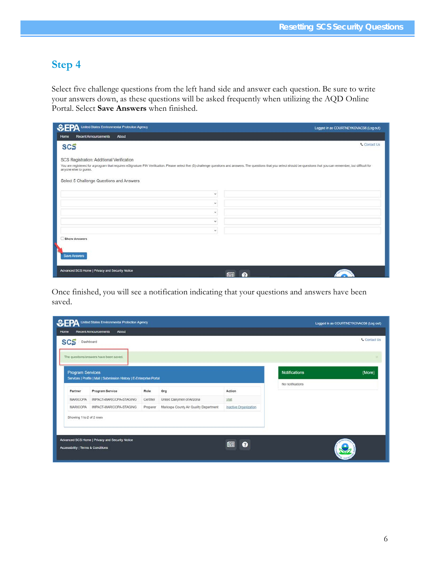## **Step 4**

Select five challenge questions from the left hand side and answer each question. Be sure to write your answers down, as these questions will be asked frequently when utilizing the AQD Online Portal. Select **Save Answers** when finished.

| United States Environmental Protection Agency                                                                                                                                                                                                           | Logged in as COURTNEYKOVACS6 (Log out) |
|---------------------------------------------------------------------------------------------------------------------------------------------------------------------------------------------------------------------------------------------------------|----------------------------------------|
| <b>Recent Announcements</b><br>About<br>Home                                                                                                                                                                                                            |                                        |
| <b>SCS</b>                                                                                                                                                                                                                                              | <b>L</b> Contact Us                    |
| SCS Registration: Additional Verification                                                                                                                                                                                                               |                                        |
| You are registered for a program that requires eSignature PIN Verification. Please select five (5) challenge questions and answers. The questions that you select should be questions that you can remember, but difficult for<br>anyone else to guess. |                                        |
|                                                                                                                                                                                                                                                         |                                        |
| Select 5 Challenge Questions and Answers                                                                                                                                                                                                                |                                        |
| $\checkmark$                                                                                                                                                                                                                                            |                                        |
| $\mathcal{L}$                                                                                                                                                                                                                                           |                                        |
| $\check{\mathbf{v}}$                                                                                                                                                                                                                                    |                                        |
| $\checkmark$                                                                                                                                                                                                                                            |                                        |
| $\checkmark$                                                                                                                                                                                                                                            |                                        |
| Show Answers                                                                                                                                                                                                                                            |                                        |
|                                                                                                                                                                                                                                                         |                                        |
| <b>Save Answers</b>                                                                                                                                                                                                                                     |                                        |
|                                                                                                                                                                                                                                                         |                                        |
| Advanced SCS Home   Privacy and Security Notice                                                                                                                                                                                                         | 佪<br>$\bullet$                         |

Once finished, you will see a notification indicating that your questions and answers have been saved.

| EFA                                | United States Environmental Protection Agency                        |           |                                        |                       |                      | Logged in as COURTNEYKOVACS6 (Log out) |
|------------------------------------|----------------------------------------------------------------------|-----------|----------------------------------------|-----------------------|----------------------|----------------------------------------|
| Home                               | About<br><b>Recent Announcements</b>                                 |           |                                        |                       |                      |                                        |
| <b>SCS</b>                         | Dashboard                                                            |           |                                        |                       |                      | <b>Contact Us</b>                      |
|                                    | The questions/answers have been saved.                               |           |                                        |                       |                      |                                        |
| Program Services                   | Services   Profile   Mail   Submission History   E-Enterprise Portal |           |                                        |                       | <b>Notifications</b> | (More)                                 |
| Partner                            | Program Service                                                      | Role      | Org                                    | Action                | No notifications     |                                        |
| MARICOPA                           | IMPACT-MARICOPA-STAGING                                              | Certifier | United Dairymen of Arizona             | Visit                 |                      |                                        |
| <b>MARICOPA</b>                    | IMPACT-MARICOPA-STAGING                                              | Preparer  | Maricopa County Air Quality Department | Inactive Organization |                      |                                        |
| Showing 1 to 2 of 2 rows           |                                                                      |           |                                        |                       |                      |                                        |
|                                    | Advanced SCS Home   Privacy and Security Notice                      |           |                                        |                       |                      |                                        |
| Accessibility   Terms & Conditions |                                                                      |           |                                        | 画<br>Q                |                      |                                        |